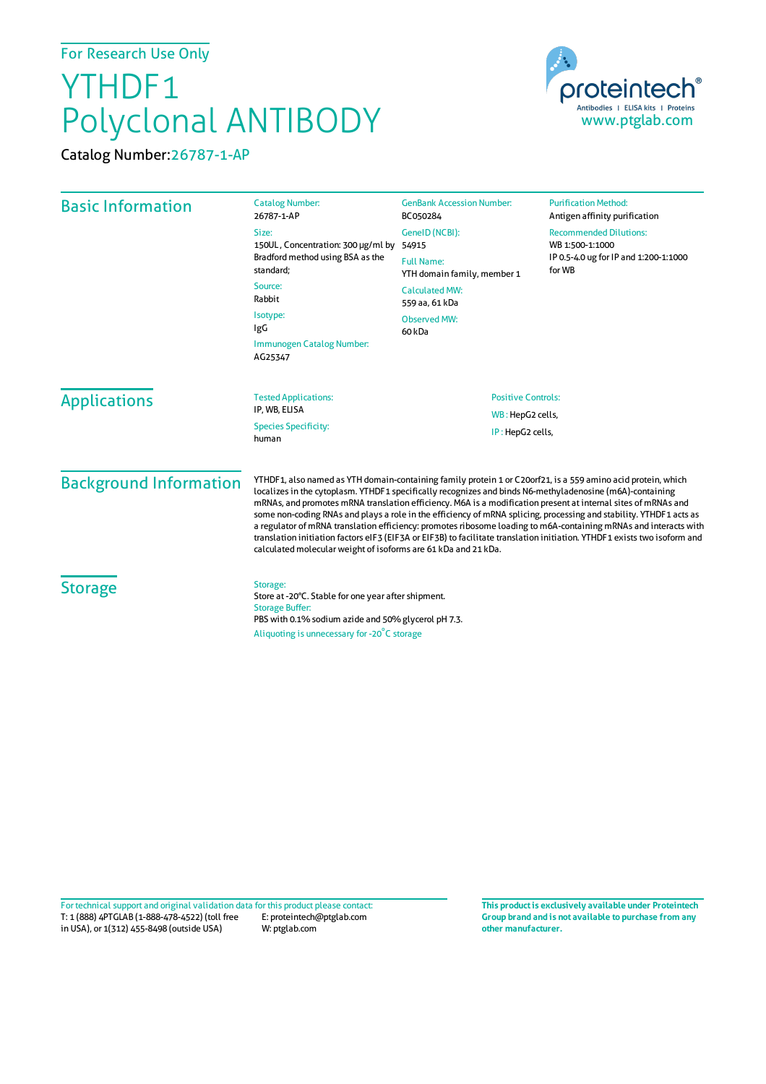## For Research Use Only

## YTHDF1 Polyclonal ANTIBODY

Catalog Number:26787-1-AP



| <b>Basic Information</b>      | <b>Catalog Number:</b><br>26787-1-AP                                                                                                                                                                                                                                                                                                                                                                                                 | <b>GenBank Accession Number:</b><br>BC050284                                                                           | <b>Purification Method:</b><br>Antigen affinity purification                                                                                                                                                                  |                                                                                      |                           |
|-------------------------------|--------------------------------------------------------------------------------------------------------------------------------------------------------------------------------------------------------------------------------------------------------------------------------------------------------------------------------------------------------------------------------------------------------------------------------------|------------------------------------------------------------------------------------------------------------------------|-------------------------------------------------------------------------------------------------------------------------------------------------------------------------------------------------------------------------------|--------------------------------------------------------------------------------------|---------------------------|
|                               | Size:<br>150UL, Concentration: 300 µg/ml by<br>Bradford method using BSA as the<br>standard;<br>Source:<br>Rabbit<br>Isotype:<br><b>IgG</b>                                                                                                                                                                                                                                                                                          | GenelD (NCBI):<br>54915<br><b>Full Name:</b><br>YTH domain family, member 1<br><b>Calculated MW:</b><br>559 aa, 61 kDa | <b>Recommended Dilutions:</b><br>WB 1:500-1:1000<br>IP 0.5-4.0 ug for IP and 1:200-1:1000<br>for WB                                                                                                                           |                                                                                      |                           |
|                               |                                                                                                                                                                                                                                                                                                                                                                                                                                      |                                                                                                                        |                                                                                                                                                                                                                               | <b>Observed MW:</b><br>60 <sub>kDa</sub>                                             |                           |
|                               |                                                                                                                                                                                                                                                                                                                                                                                                                                      |                                                                                                                        |                                                                                                                                                                                                                               | Immunogen Catalog Number:<br>AG25347                                                 |                           |
|                               |                                                                                                                                                                                                                                                                                                                                                                                                                                      | <b>Applications</b>                                                                                                    |                                                                                                                                                                                                                               | <b>Tested Applications:</b><br>IP, WB, ELISA<br><b>Species Specificity:</b><br>human | <b>Positive Controls:</b> |
|                               | WB: HepG2 cells,<br>IP: HepG2 cells,                                                                                                                                                                                                                                                                                                                                                                                                 |                                                                                                                        |                                                                                                                                                                                                                               |                                                                                      |                           |
| <b>Background Information</b> | localizes in the cytoplasm. YTHDF1 specifically recognizes and binds N6-methyladenosine (m6A)-containing                                                                                                                                                                                                                                                                                                                             |                                                                                                                        | YTHDF1, also named as YTH domain-containing family protein 1 or C20orf21, is a 559 amino acid protein, which<br>mRNAs, and promotes mRNA translation efficiency. M6A is a modification present at internal sites of mRNAs and |                                                                                      |                           |
|                               | some non-coding RNAs and plays a role in the efficiency of mRNA splicing, processing and stability. YTHDF1 acts as<br>a regulator of mRNA translation efficiency: promotes ribosome loading to m6A-containing mRNAs and interacts with<br>translation initiation factors eIF3 (EIF3A or EIF3B) to facilitate translation initiation. YTHDF1 exists two isoform and<br>calculated molecular weight of isoforms are 61 kDa and 21 kDa. |                                                                                                                        |                                                                                                                                                                                                                               |                                                                                      |                           |
| <b>Storage</b>                | Storage:<br>Store at -20°C. Stable for one year after shipment.<br><b>Storage Buffer:</b><br>PBS with 0.1% sodium azide and 50% glycerol pH 7.3.<br>Aliquoting is unnecessary for -20°C storage                                                                                                                                                                                                                                      |                                                                                                                        |                                                                                                                                                                                                                               |                                                                                      |                           |
|                               |                                                                                                                                                                                                                                                                                                                                                                                                                                      |                                                                                                                        |                                                                                                                                                                                                                               |                                                                                      |                           |

T: 1 (888) 4PTGLAB (1-888-478-4522) (toll free E: proteintech@ptglab.com in USA), or 1(312) 455-8498 (outside USA) W: ptglab.com Fortechnical support and original validation data forthis product please contact: **This productis exclusively available under Proteintech**

**Group brand and is not available to purchase from any other manufacturer.**